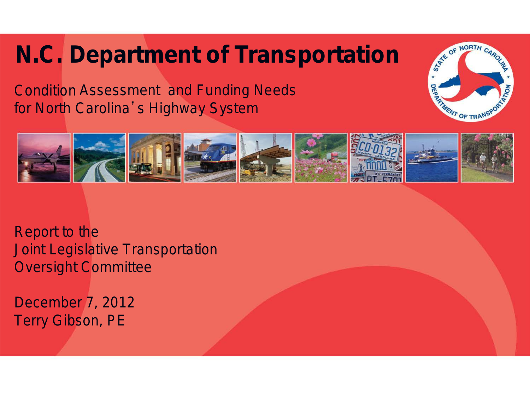## **N.C. Department of Transportation**

Condition Assessment and Funding Needs for North Carolina's Highway System





Report to the Joint Legislative Transportation Oversight Committee

December 7, 2012 Terry Gibson, PE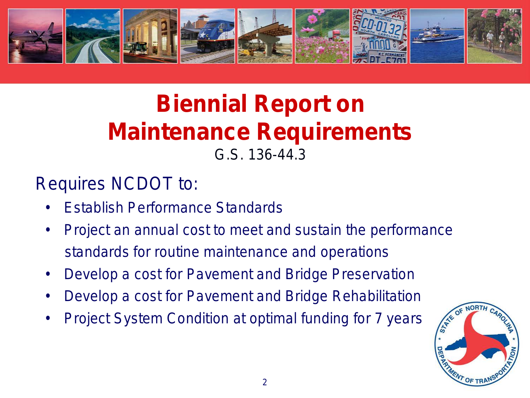

# **Biennial Report on Maintenance Requirements**

G.S. 136-44.3

#### Requires NCDOT to:

- Establish Performance Standards
- Project an annual cost to meet and sustain the performance standards for routine maintenance and operations
- Develop a cost for Pavement and Bridge Preservation
- Develop a cost for Pavement and Bridge Rehabilitation
- Project System Condition at optimal funding for 7 years

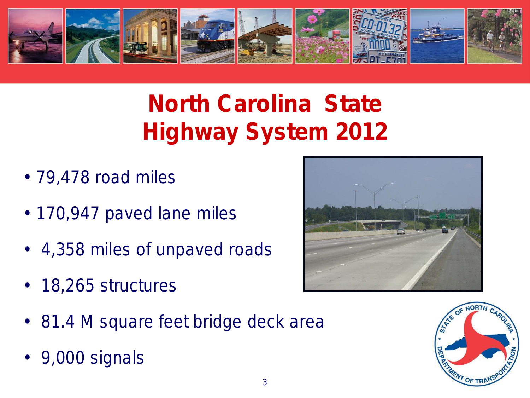

# **North Carolina State Highway System 2012**

- 79,478 road miles
- 170,947 paved lane miles
- 4,358 miles of unpaved roads
- 18,265 structures



• 9,000 signals



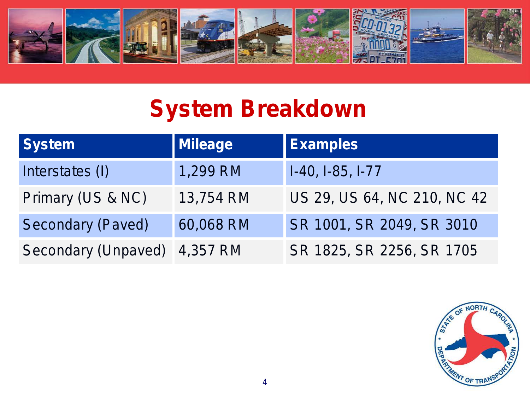

### **System Breakdown**

| <b>System</b>            | Mileage   | <b>Examples</b>             |
|--------------------------|-----------|-----------------------------|
| Interstates (I)          | 1,299 RM  | I-40, I-85, I-77            |
| Primary (US & NC)        | 13,754 RM | US 29, US 64, NC 210, NC 42 |
| <b>Secondary (Paved)</b> | 60,068 RM | SR 1001, SR 2049, SR 3010   |
| Secondary (Unpaved)      | 4,357 RM  | SR 1825, SR 2256, SR 1705   |

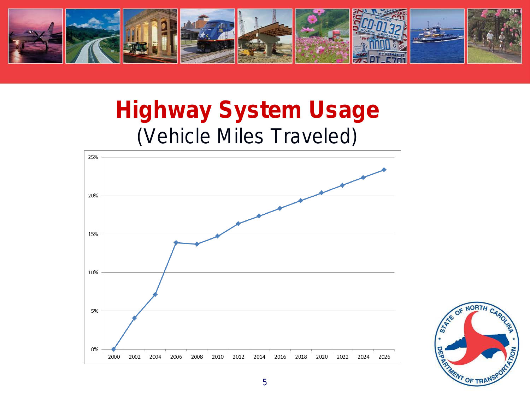

## **Highway System Usage** (Vehicle Miles Traveled)



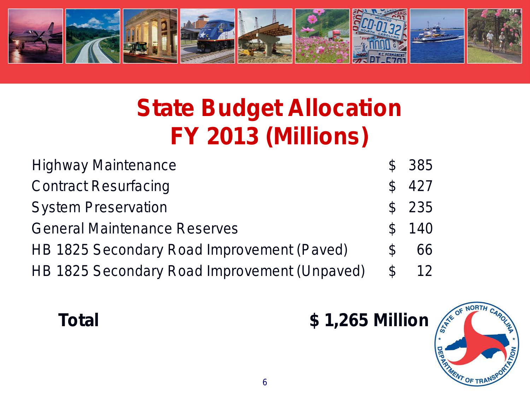

# **State Budget Allocation FY 2013 (Millions)**

| <b>Highway Maintenance</b>                   | $\mathcal{S}$ | 385   |
|----------------------------------------------|---------------|-------|
| <b>Contract Resurfacing</b>                  | $\mathcal{S}$ | 427   |
| <b>System Preservation</b>                   |               | \$235 |
| <b>General Maintenance Reserves</b>          | $\mathcal{S}$ | 140   |
| HB 1825 Secondary Road Improvement (Paved)   | $\mathcal{L}$ | 66    |
| HB 1825 Secondary Road Improvement (Unpaved) | $\mathcal{C}$ | 12    |

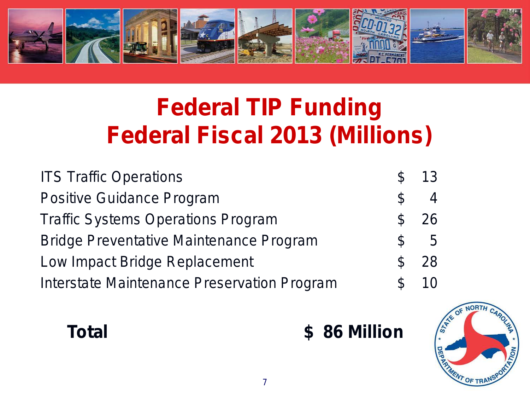

## **Federal TIP Funding Federal Fiscal 2013 (Millions)**

| <b>ITS Traffic Operations</b>                  |               | 13  |
|------------------------------------------------|---------------|-----|
| <b>Positive Guidance Program</b>               | $\mathcal{C}$ |     |
| <b>Traffic Systems Operations Program</b>      |               | 26  |
| <b>Bridge Preventative Maintenance Program</b> | $\mathcal{L}$ | - 5 |
| Low Impact Bridge Replacement                  |               | 28  |
| Interstate Maintenance Preservation Program    |               | 10  |

**Total \$ 86 Million**

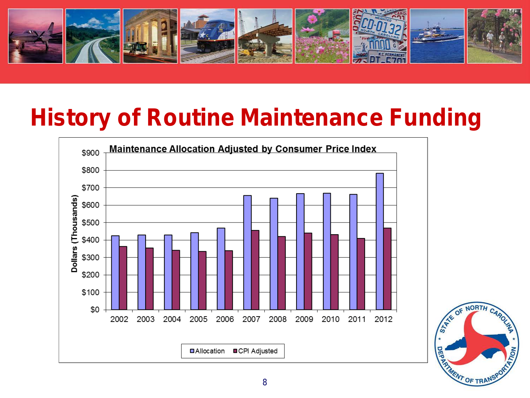

### **History of Routine Maintenance Funding**



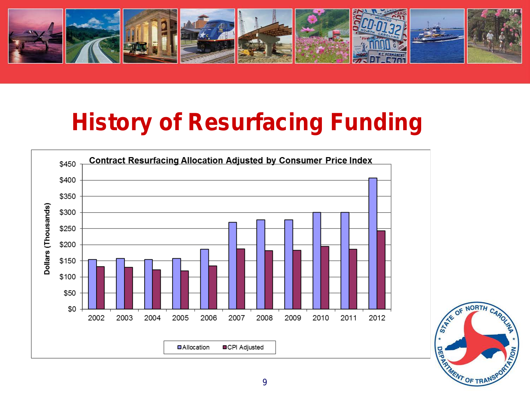

## **History of Resurfacing Funding**



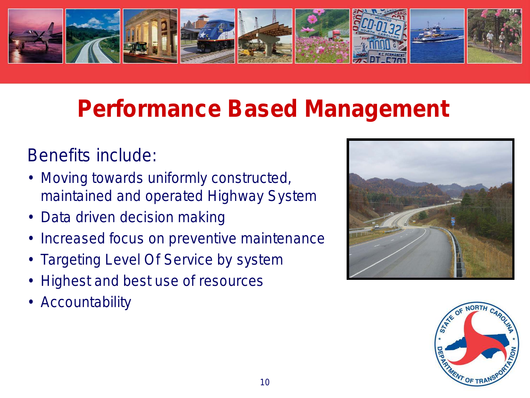

## **Performance Based Management**

#### Benefits include:

- Moving towards uniformly constructed, maintained and operated Highway System
- Data driven decision making
- Increased focus on preventive maintenance
- Targeting Level Of Service by system
- Highest and best use of resources
- **Accountability**



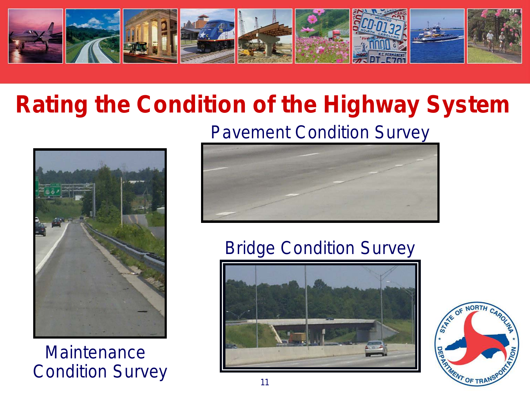

## **Rating the Condition of the Highway System**



**Maintenance** Condition Survey **11** 

#### Pavement Condition Survey



#### Bridge Condition Survey



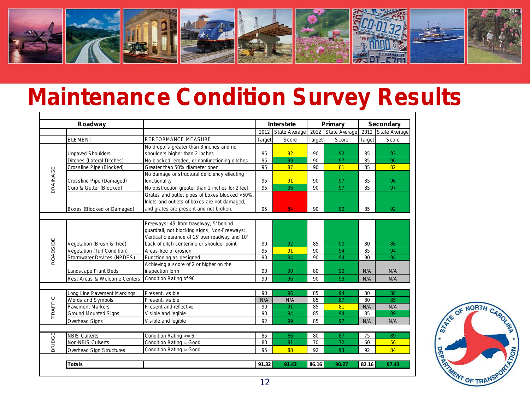

#### **Maintenance Condition Survey Results**

|               | Roadway                      |                                                 |        | Interstate         | Primary |                      | <b>Secondary</b> |                      |
|---------------|------------------------------|-------------------------------------------------|--------|--------------------|---------|----------------------|------------------|----------------------|
|               |                              |                                                 |        | 2012 State Average | 2012    | <b>State Average</b> | 2012             | <b>State Average</b> |
|               | <b>ELEMENT</b>               | PERFORMANCE MEASURE                             | Target | Score              | Target  | Score                | Target           | Score                |
|               |                              | No dropoffs greater than 3 inches and no        |        |                    |         |                      |                  |                      |
|               | <b>Unpaved Shoulders</b>     | shoulders higher than 2 inches                  | 95     | 92                 | 90      | 92                   | 85               | 93                   |
|               | Ditches (Lateral Ditches)    | No blocked, eroded, or nonfunctioning ditches   | 95     | 99                 | 90      | 97                   | 85               | 96                   |
|               | Crossline Pipe (Blocked)     | Greater than 50% diameter open                  | 95     | 87                 | 90      | 81                   | 85               | 82                   |
| DRAINAGE      |                              | No damage or structural deficiency effecting    |        |                    |         |                      |                  |                      |
|               | Crossline Pipe (Damaged)     | functionality                                   | 95     | 91                 | 90      | 97                   | 85               | 96                   |
|               | Curb & Gutter (Blocked)      | No obstruction greater than 2 inches for 2 feet | 95     | 96                 | 90      | 97                   | 85               | 97                   |
|               |                              | Grates and outlet pipes of boxes blocked <50%.  |        |                    |         |                      |                  |                      |
|               |                              | Inlets and outlets of boxes are not damaged,    |        |                    |         |                      |                  |                      |
|               | Boxes (Blocked or Damaged)   | and grates are present and not broken.          | 95     | 84                 | 90      | 90                   | 85               | 92                   |
|               |                              |                                                 |        |                    |         |                      |                  |                      |
|               |                              | Freeways: 45' from travelway, 5' behind         |        |                    |         |                      |                  |                      |
|               |                              | guardrail, not blocking signs; Non-Freeways:    |        |                    |         |                      |                  |                      |
|               |                              | Vertical clearance of 15' over roadway and 10'  |        |                    |         |                      |                  |                      |
|               | Vegetation (Brush & Tree)    | back of ditch centerline or shoulder point      | 90     | 92                 | 85      | 90                   | 80               | 86                   |
| ROADSIDE      | Vegetation (Turf Condition)  | Areas free of erosion                           | 95     | 91                 | 90      | 94                   | 85               | 94                   |
|               | Stormwater Devices (NPDES)   | Functioning as designed                         |        | 94                 | 90      | 94                   | 90               | 94                   |
|               |                              | Achieving a score of 2 or higher on the         |        |                    |         |                      |                  |                      |
|               | Landscape Plant Beds         | inspection form                                 | 90     | 90                 | 80      | 90                   | N/A              | N/A                  |
|               | Rest Areas & Welcome Centers | Condition Rating of 90                          | 90     | 96                 | 90      | 93                   | N/A              | N/A                  |
|               |                              |                                                 |        |                    |         |                      |                  |                      |
|               | Long Line Pavement Markings  | Present, visible                                | 90     | 96                 | 85      | 94                   | 80               | 88                   |
|               | Words and Symbols            | Present. visible                                | N/A    | N/A                | 85      | 87                   | 80               | 85                   |
| TRAFFIC       | <b>Pavement Markers</b>      | Present and reflective                          | 90     | 91                 | 85      | 81                   | N/A              | N/A                  |
|               | <b>Ground Mounted Signs</b>  | Visible and legible                             | 90     | 94                 | 85      | 94                   | 85               | 89                   |
|               | Overhead Signs               | Visible and legible                             | 92     | 99                 | 85      | 97                   | N/A              | N/A                  |
|               |                              |                                                 |        |                    |         |                      |                  |                      |
|               | <b>NBIS Culverts</b>         | Condition Rating $>= 6$                         | 85     | 86                 | 80      | 87                   | 75               | 89                   |
| <b>BRIDGE</b> | Non-NBIS Culverts            | Condition Rating = Good                         | 80     | 81                 | 70      | 72                   | 60               | 56                   |
|               | Overhead Sign Structures     | Condition Rating = Good                         | 95     | 88                 | 92      | 93                   | 92               | 84                   |
|               |                              |                                                 |        |                    |         |                      |                  |                      |
|               | Totals                       |                                                 | 91.32  | 91.43              | 86.16   | 90.27                | 82.16            | 87.43                |

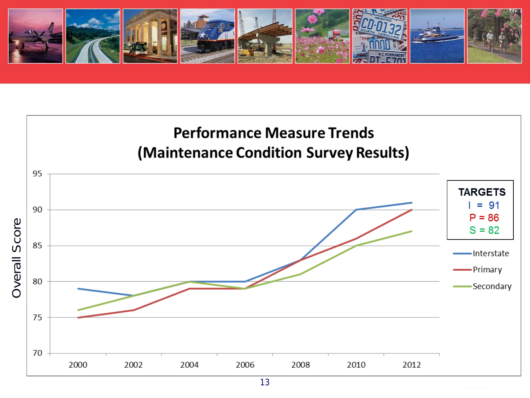

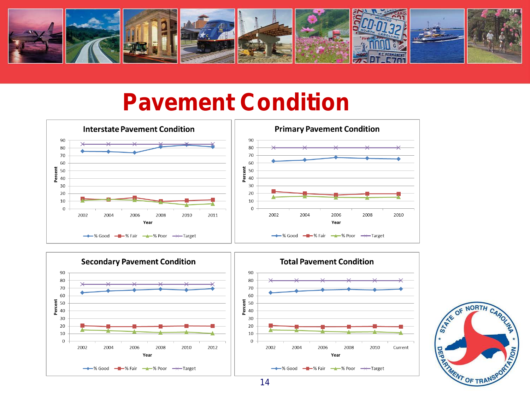

#### **Pavement Condition**







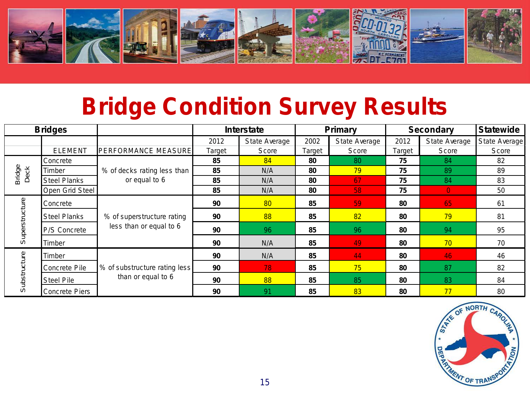

### **Bridge Condition Survey Results**

| <b>Bridges</b> |                       |                                                       | <b>Interstate</b> |                 | <b>Primary</b> |               | <b>Secondary</b> |                | <b>Statewide</b> |
|----------------|-----------------------|-------------------------------------------------------|-------------------|-----------------|----------------|---------------|------------------|----------------|------------------|
|                |                       |                                                       | 2012              | State Average   | 2002           | State Average | 2012             | State Average  | State Average    |
|                | <b>ELEMENT</b>        | <b>PERFORMANCE MEASURE</b>                            | Target            | Score           | Target         | Score         | Target           | Score          | Score            |
|                | Concrete              |                                                       | 85                | 84              | 80             | 80            | 75               | 84             | 82               |
| Bridge<br>Deck | Timber                | % of decks rating less than                           | 85                | N/A             | 80             | 79            | 75               | 89             | 89               |
|                | <b>Steel Planks</b>   | or equal to 6                                         | 85                | N/A             | 80             | 67            | 75               | 84             | 83               |
|                | Open Grid Steel       |                                                       | 85                | N/A             | 80             | 58            | 75               | $\overline{0}$ | 50               |
| Superstructure | Concrete              | % of superstructure rating<br>less than or equal to 6 | 90                | 80 <sup>°</sup> | 85             | 59            | 80               | 65             | 61               |
|                | <b>Steel Planks</b>   |                                                       | 90                | 88              | 85             | 82            | 80               | 79             | 81               |
|                | <b>P/S Concrete</b>   |                                                       | 90                | 96              | 85             | 96            | 80               | 94             | 95               |
|                | Timber                |                                                       | 90                | N/A             | 85             | 49            | 80               | 70             | 70               |
| Substructure   | Timber                | % of substructure rating less<br>than or equal to 6   | 90                | N/A             | 85             | 44            | 80               | 46             | 46               |
|                | Concrete Pile         |                                                       | 90                | 78              | 85             | 75            | 80               | 87             | 82               |
|                | <b>Steel Pile</b>     |                                                       | 90                | 88              | 85             | 85            | 80               | 83             | 84               |
|                | <b>Concrete Piers</b> |                                                       | 90                | 91              | 85             | 83            | 80               | 77             | 80               |

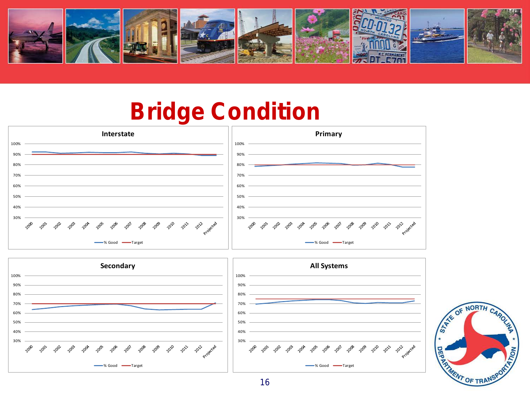

#### **Bridge Condition**





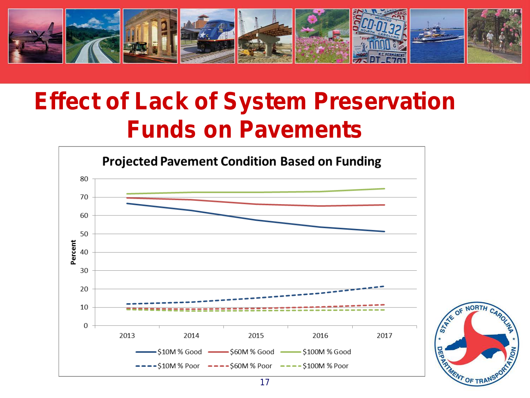

## **Effect of Lack of System Preservation Funds on Pavements**

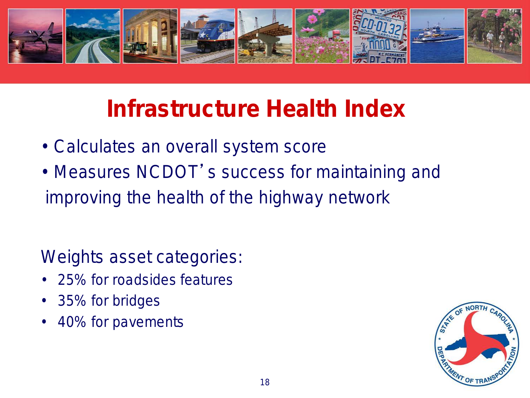

## **Infrastructure Health Index**

- Calculates an overall system score
- Measures NCDOT's success for maintaining and improving the health of the highway network

Weights asset categories:

- 25% for roadsides features
- 35% for bridges
- 40% for pavements

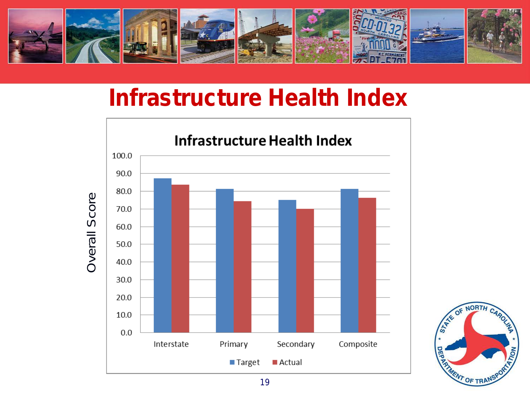

#### **Infrastructure Health Index**



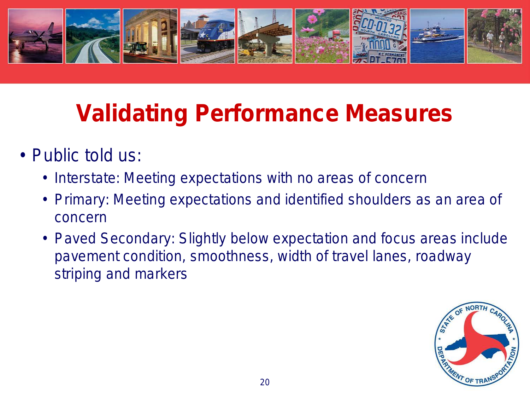

# **Validating Performance Measures**

- Public told us:
	- Interstate: Meeting expectations with no areas of concern
	- Primary: Meeting expectations and identified shoulders as an area of concern
	- Paved Secondary: Slightly below expectation and focus areas include pavement condition, smoothness, width of travel lanes, roadway striping and markers

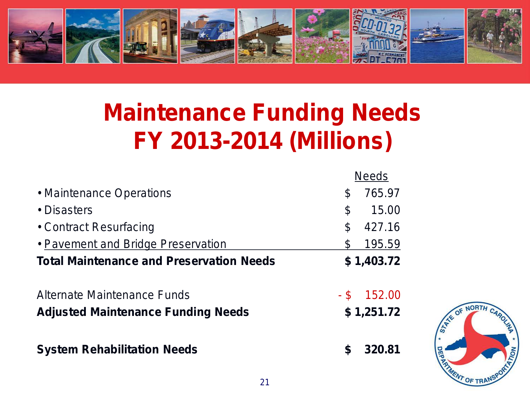

# **Maintenance Funding Needs FY 2013-2014 (Millions)**

|                                                 | <b>Needs</b>   |                 |
|-------------------------------------------------|----------------|-----------------|
| • Maintenance Operations                        | 765.97<br>S    |                 |
| • Disasters                                     | \$<br>15.00    |                 |
| • Contract Resurfacing                          | 427.16<br>\$   |                 |
| • Pavement and Bridge Preservation              | S<br>195.59    |                 |
| <b>Total Maintenance and Preservation Needs</b> | \$1,403.72     |                 |
| Alternate Maintenance Funds                     | - \$<br>152.00 |                 |
| <b>Adjusted Maintenance Funding Needs</b>       | \$1,251.72     | <b>STATE OF</b> |
| <b>System Rehabilitation Needs</b>              | 320.81<br>S    |                 |

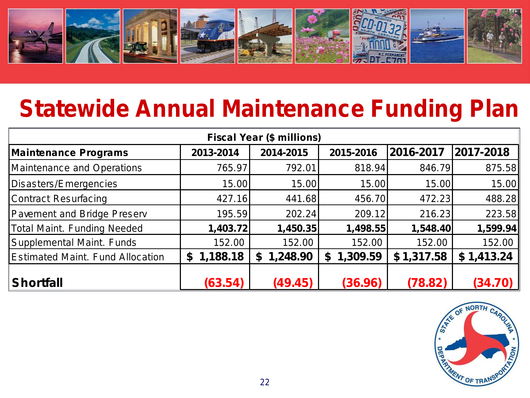

#### **Statewide Annual Maintenance Funding Plan**

| <b>Fiscal Year (\$ millions)</b>        |                |                      |                |            |               |  |  |  |  |
|-----------------------------------------|----------------|----------------------|----------------|------------|---------------|--|--|--|--|
| <b>Maintenance Programs</b>             | 2013-2014      | 2014-2015            | 2015-2016      | 2016-2017  | 2017-2018     |  |  |  |  |
| <b>Maintenance and Operations</b>       | 765.97         | 792.01               | 818.94         | 846.79     | 875.58        |  |  |  |  |
| Disasters/Emergencies                   | 15.00          | 15.00                | 15.00          | 15.00      | 15.00         |  |  |  |  |
| <b>Contract Resurfacing</b>             | 427.16         | 441.68               | 456.70         | 472.23     | 488.28        |  |  |  |  |
| <b>Pavement and Bridge Preserv</b>      | 195.59         | 202.24               | 209.12         | 216.23     | 223.58        |  |  |  |  |
| <b>Total Maint. Funding Needed</b>      | 1,403.72       | 1,450.35             | 1,498.55       | 1,548.40   | 1,599.94      |  |  |  |  |
| Supplemental Maint. Funds               | 152.00         | 152.00               | 152.00         | 152.00     | 152.00        |  |  |  |  |
| <b>Estimated Maint. Fund Allocation</b> | 1,188.18<br>\$ | 1,248.90<br><b>S</b> | 1,309.59<br>£. | \$1,317.58 | \$1,413.24    |  |  |  |  |
| <b>Shortfall</b>                        | (63.54)        | (49.45)              | (36.96)        | (78.82)    | <i>(34.70</i> |  |  |  |  |

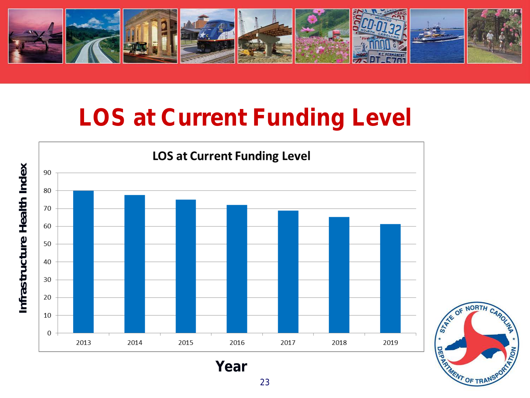

## **LOS at Current Funding Level**



23

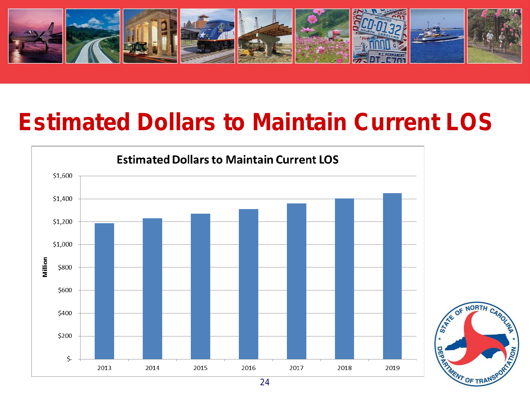

### **Estimated Dollars to Maintain Current LOS**



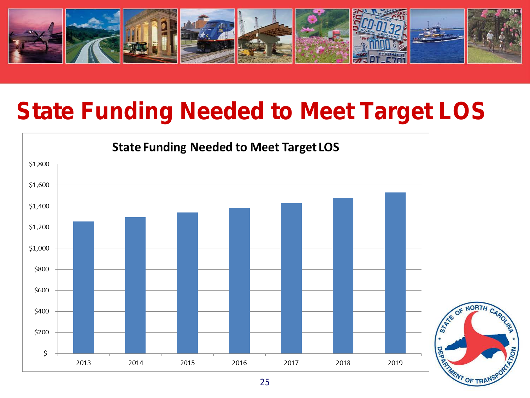

### **State Funding Needed to Meet Target LOS**

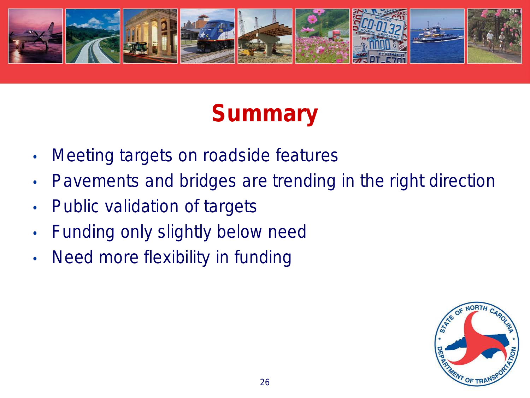

## **Summary**

- Meeting targets on roadside features
- Pavements and bridges are trending in the right direction
- Public validation of targets
- Funding only slightly below need
- Need more flexibility in funding